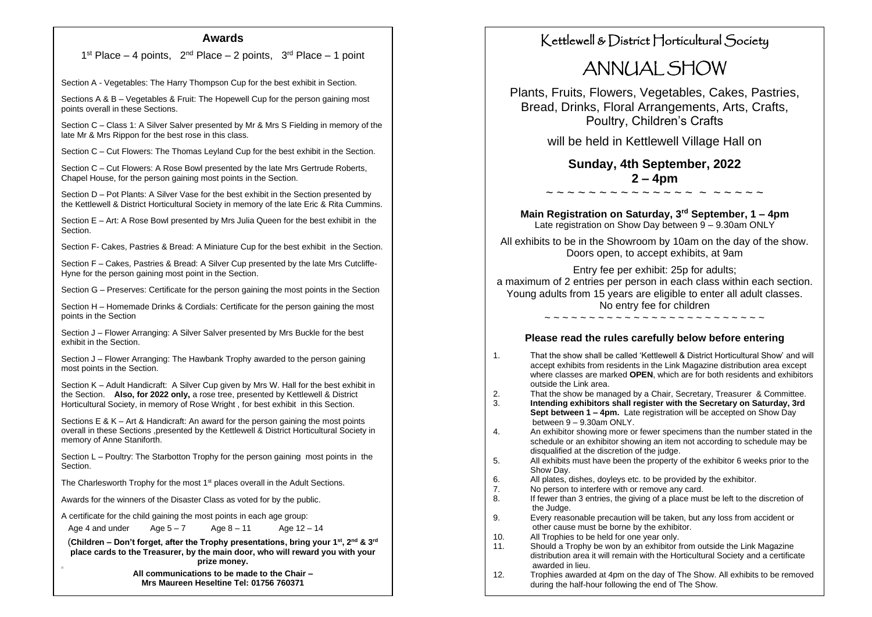#### **Awards**

1<sup>st</sup> Place – 4 points,  $2^{nd}$  Place – 2 points,  $3^{rd}$  Place – 1 point

Section A - Vegetables: The Harry Thompson Cup for the best exhibit in Section.

Sections A & B – Vegetables & Fruit: The Hopewell Cup for the person gaining most points overall in these Sections.

Section C – Class 1: A Silver Salver presented by Mr & Mrs S Fielding in memory of the late Mr & Mrs Rippon for the best rose in this class.

Section C – Cut Flowers: The Thomas Leyland Cup for the best exhibit in the Section.

Section C – Cut Flowers: A Rose Bowl presented by the late Mrs Gertrude Roberts, Chapel House, for the person gaining most points in the Section.

Section D – Pot Plants: A Silver Vase for the best exhibit in the Section presented by the Kettlewell & District Horticultural Society in memory of the late Eric & Rita Cummins.

Section E – Art: A Rose Bowl presented by Mrs Julia Queen for the best exhibit in the **Section** 

Section F- Cakes, Pastries & Bread: A Miniature Cup for the best exhibit in the Section.

Section F – Cakes, Pastries & Bread: A Silver Cup presented by the late Mrs Cutcliffe-Hyne for the person gaining most point in the Section.

Section G – Preserves: Certificate for the person gaining the most points in the Section

Section H – Homemade Drinks & Cordials: Certificate for the person gaining the most points in the Section

Section J – Flower Arranging: A Silver Salver presented by Mrs Buckle for the best exhibit in the Section.

Section J – Flower Arranging: The Hawbank Trophy awarded to the person gaining most points in the Section.

Section K – Adult Handicraft: A Silver Cup given by Mrs W. Hall for the best exhibit in the Section. **Also, for 2022 only,** a rose tree, presented by Kettlewell & District Horticultural Society, in memory of Rose Wright , for best exhibit in this Section.

Sections  $E \& K - Art \& Handicraft: An award for the person gaining the most points$ overall in these Sections ,presented by the Kettlewell & District Horticultural Society in memory of Anne Staniforth.

Section L – Poultry: The Starbotton Trophy for the person gaining most points in the Section.

The Charlesworth Trophy for the most 1<sup>st</sup> places overall in the Adult Sections.

Awards for the winners of the Disaster Class as voted for by the public.

A certificate for the child gaining the most points in each age group:

Age 4 and under  $Age 5-7$  Age  $8-11$  Age  $12-14$ 

(**Children – Don't forget, after the Trophy presentations, bring your 1st, 2nd & 3rd place cards to the Treasurer, by the main door, who will reward you with your prize money.**

> **All communications to be made to the Chair – Mrs Maureen Heseltine Tel: 01756 760371**

## Kettlewell & District Horticultural Society

# ANNUAL SHOW

Plants, Fruits, Flowers, Vegetables, Cakes, Pastries, Bread, Drinks, Floral Arrangements, Arts, Crafts, Poultry, Children's Crafts

will be held in Kettlewell Village Hall on

**Sunday, 4th September, 2022 2 – 4pm**

~ ~ ~ ~ ~ ~ ~ ~ ~ ~ ~ ~ ~ ~ ~ ~ ~ ~ ~ ~

**Main Registration on Saturday, 3rd September, 1 – 4pm** Late registration on Show Day between 9 – 9.30am ONLY

All exhibits to be in the Showroom by 10am on the day of the show. Doors open, to accept exhibits, at 9am

Entry fee per exhibit: 25p for adults;

a maximum of 2 entries per person in each class within each section. Young adults from 15 years are eligible to enter all adult classes. No entry fee for children ~ ~ ~ ~ ~ ~ ~ ~ ~ ~ ~ ~ ~ ~ ~ ~ ~ ~ ~ ~ ~ ~ ~ ~ ~

#### **Please read the rules carefully below before entering**

- 1. That the show shall be called 'Kettlewell & District Horticultural Show' and will accept exhibits from residents in the Link Magazine distribution area except where classes are marked **OPEN**, which are for both residents and exhibitors outside the Link area.
- 2. That the show be managed by a Chair, Secretary, Treasurer & Committee.<br>3. **Intending exhibitors shall register with the Secretary on Saturday. 3rd**

3. **Intending exhibitors shall register with the Secretary on Saturday, 3rd Sept between 1 – 4pm.** Late registration will be accepted on Show Day between 9 – 9.30am ONLY.

- 4. An exhibitor showing more or fewer specimens than the number stated in the schedule or an exhibitor showing an item not according to schedule may be disqualified at the discretion of the judge.
- 5. All exhibits must have been the property of the exhibitor 6 weeks prior to the Show Day.
- 6. All plates, dishes, doyleys etc. to be provided by the exhibitor.
- 7. No person to interfere with or remove any card.
- 8. If fewer than 3 entries, the giving of a place must be left to the discretion of the Judge.<br>9. Every reason
- 9. Every reasonable precaution will be taken, but any loss from accident or other cause must be borne by the exhibitor.
- 10. All Trophies to be held for one year only.<br>11. Should a Trophy be won by an exhibitor f
- Should a Trophy be won by an exhibitor from outside the Link Magazine distribution area it will remain with the Horticultural Society and a certificate awarded in lieu.
- 12. Trophies awarded at 4pm on the day of The Show. All exhibits to be removed during the half-hour following the end of The Show.